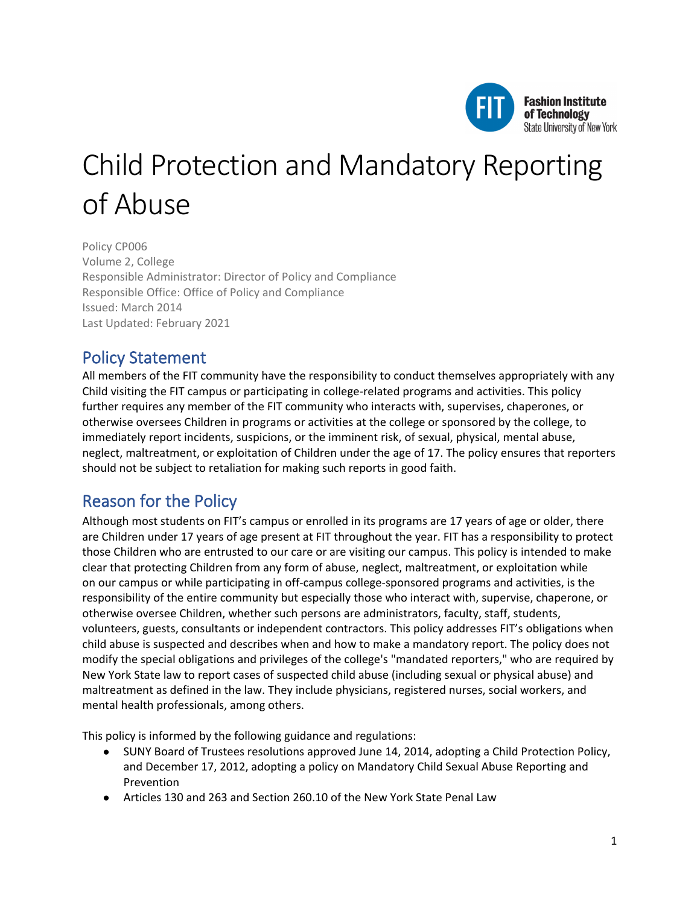

# Child Protection and Mandatory Reporting of Abuse

Policy CP006 Volume 2, College Responsible Administrator: Director of Policy and Compliance Responsible Office: Office of Policy and Compliance Issued: March 2014 Last Updated: February 2021

# Policy Statement

All members of the FIT community have the responsibility to conduct themselves appropriately with any Child visiting the FIT campus or participating in college-related programs and activities. This policy further requires any member of the FIT community who interacts with, supervises, chaperones, or otherwise oversees Children in programs or activities at the college or sponsored by the college, to immediately report incidents, suspicions, or the imminent risk, of sexual, physical, mental abuse, neglect, maltreatment, or exploitation of Children under the age of 17. The policy ensures that reporters should not be subject to retaliation for making such reports in good faith.

# Reason for the Policy

Although most students on FIT's campus or enrolled in its programs are 17 years of age or older, there are Children under 17 years of age present at FIT throughout the year. FIT has a responsibility to protect those Children who are entrusted to our care or are visiting our campus. This policy is intended to make clear that protecting Children from any form of abuse, neglect, maltreatment, or exploitation while on our campus or while participating in off-campus college-sponsored programs and activities, is the responsibility of the entire community but especially those who interact with, supervise, chaperone, or otherwise oversee Children, whether such persons are administrators, faculty, staff, students, volunteers, guests, consultants or independent contractors. This policy addresses FIT's obligations when child abuse is suspected and describes when and how to make a mandatory report. The policy does not modify the special obligations and privileges of the college's "mandated reporters," who are required by New York State law to report cases of suspected child abuse (including sexual or physical abuse) and maltreatment as defined in the law. They include physicians, registered nurses, social workers, and mental health professionals, among others.

This policy is informed by the following guidance and regulations:

- SUNY Board of Trustees resolutions approved June 14, 2014, adopting a Child Protection Policy, and December 17, 2012, adopting a policy on Mandatory Child Sexual Abuse Reporting and Prevention
- Articles 130 and 263 and Section 260.10 of the New York State Penal Law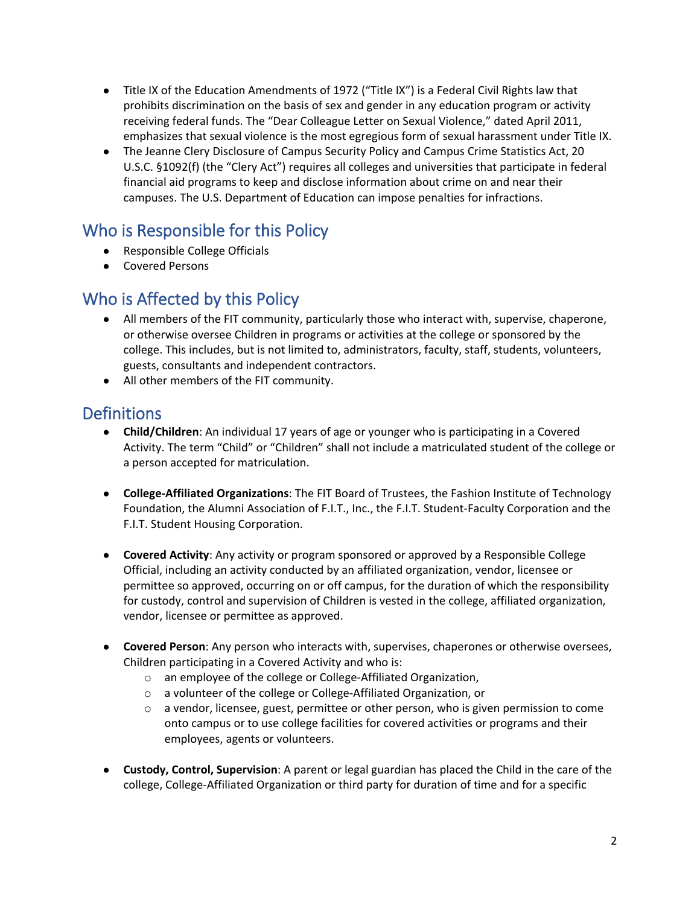- Title IX of the Education Amendments of 1972 ("Title IX") is a Federal Civil Rights law that prohibits discrimination on the basis of sex and gender in any education program or activity receiving federal funds. The "Dear Colleague Letter on Sexual Violence," dated April 2011, emphasizes that sexual violence is the most egregious form of sexual harassment under Title IX.
- The Jeanne Clery Disclosure of Campus Security Policy and Campus Crime Statistics Act, 20 U.S.C. §1092(f) (the "Clery Act") requires all colleges and universities that participate in federal financial aid programs to keep and disclose information about crime on and near their campuses. The U.S. Department of Education can impose penalties for infractions.

## Who is Responsible for this Policy

- Responsible College Officials
- Covered Persons

## Who is Affected by this Policy

- All members of the FIT community, particularly those who interact with, supervise, chaperone, or otherwise oversee Children in programs or activities at the college or sponsored by the college. This includes, but is not limited to, administrators, faculty, staff, students, volunteers, guests, consultants and independent contractors.
- All other members of the FIT community.

# **Definitions**

- **Child/Children**: An individual 17 years of age or younger who is participating in a Covered Activity. The term "Child" or "Children" shall not include a matriculated student of the college or a person accepted for matriculation.
- **College-Affiliated Organizations**: The FIT Board of Trustees, the Fashion Institute of Technology Foundation, the Alumni Association of F.I.T., Inc., the F.I.T. Student-Faculty Corporation and the F.I.T. Student Housing Corporation.
- **Covered Activity**: Any activity or program sponsored or approved by a Responsible College Official, including an activity conducted by an affiliated organization, vendor, licensee or permittee so approved, occurring on or off campus, for the duration of which the responsibility for custody, control and supervision of Children is vested in the college, affiliated organization, vendor, licensee or permittee as approved.
- **Covered Person**: Any person who interacts with, supervises, chaperones or otherwise oversees, Children participating in a Covered Activity and who is:
	- o an employee of the college or College-Affiliated Organization,
	- o a volunteer of the college or College-Affiliated Organization, or
	- $\circ$  a vendor, licensee, guest, permittee or other person, who is given permission to come onto campus or to use college facilities for covered activities or programs and their employees, agents or volunteers.
- **Custody, Control, Supervision**: A parent or legal guardian has placed the Child in the care of the college, College-Affiliated Organization or third party for duration of time and for a specific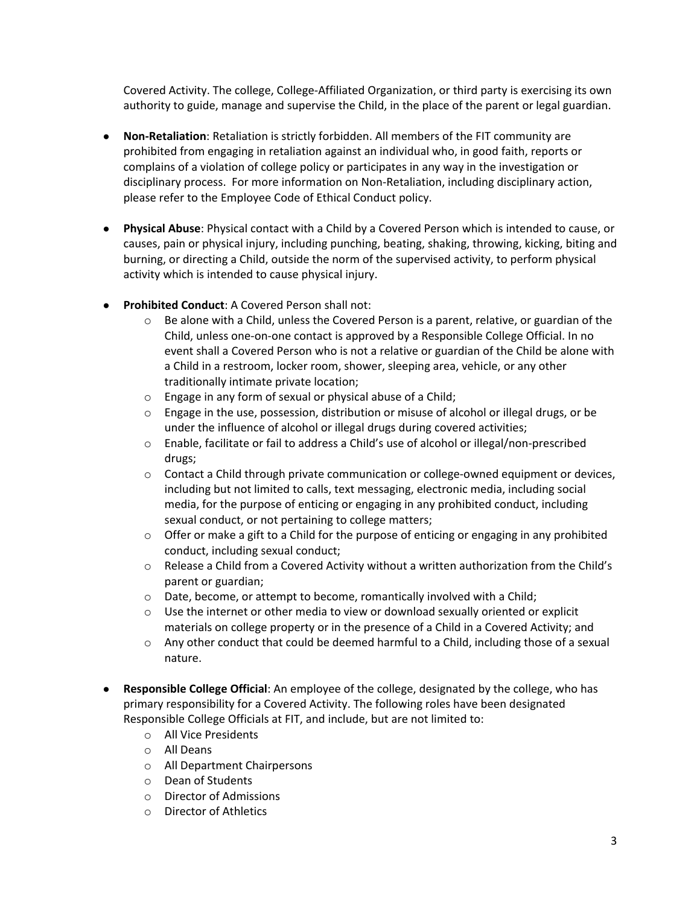Covered Activity. The college, College-Affiliated Organization, or third party is exercising its own authority to guide, manage and supervise the Child, in the place of the parent or legal guardian.

- **Non-Retaliation**: Retaliation is strictly forbidden. All members of the FIT community are prohibited from engaging in retaliation against an individual who, in good faith, reports or complains of a violation of college policy or participates in any way in the investigation or disciplinary process. For more information on Non-Retaliation, including disciplinary action, please refer to the Employee Code of Ethical Conduct policy.
- **Physical Abuse**: Physical contact with a Child by a Covered Person which is intended to cause, or causes, pain or physical injury, including punching, beating, shaking, throwing, kicking, biting and burning, or directing a Child, outside the norm of the supervised activity, to perform physical activity which is intended to cause physical injury.
- **Prohibited Conduct: A Covered Person shall not:** 
	- o Be alone with a Child, unless the Covered Person is a parent, relative, or guardian of the Child, unless one-on-one contact is approved by a Responsible College Official. In no event shall a Covered Person who is not a relative or guardian of the Child be alone with a Child in a restroom, locker room, shower, sleeping area, vehicle, or any other traditionally intimate private location;
	- o Engage in any form of sexual or physical abuse of a Child;
	- $\circ$  Engage in the use, possession, distribution or misuse of alcohol or illegal drugs, or be under the influence of alcohol or illegal drugs during covered activities;
	- o Enable, facilitate or fail to address a Child's use of alcohol or illegal/non-prescribed drugs;
	- $\circ$  Contact a Child through private communication or college-owned equipment or devices, including but not limited to calls, text messaging, electronic media, including social media, for the purpose of enticing or engaging in any prohibited conduct, including sexual conduct, or not pertaining to college matters;
	- $\circ$  Offer or make a gift to a Child for the purpose of enticing or engaging in any prohibited conduct, including sexual conduct;
	- o Release a Child from a Covered Activity without a written authorization from the Child's parent or guardian;
	- o Date, become, or attempt to become, romantically involved with a Child;
	- $\circ$  Use the internet or other media to view or download sexually oriented or explicit materials on college property or in the presence of a Child in a Covered Activity; and
	- $\circ$  Any other conduct that could be deemed harmful to a Child, including those of a sexual nature.
- **Responsible College Official**: An employee of the college, designated by the college, who has primary responsibility for a Covered Activity. The following roles have been designated Responsible College Officials at FIT, and include, but are not limited to:
	- o All Vice Presidents
	- o All Deans
	- o All Department Chairpersons
	- o Dean of Students
	- o Director of Admissions
	- o Director of Athletics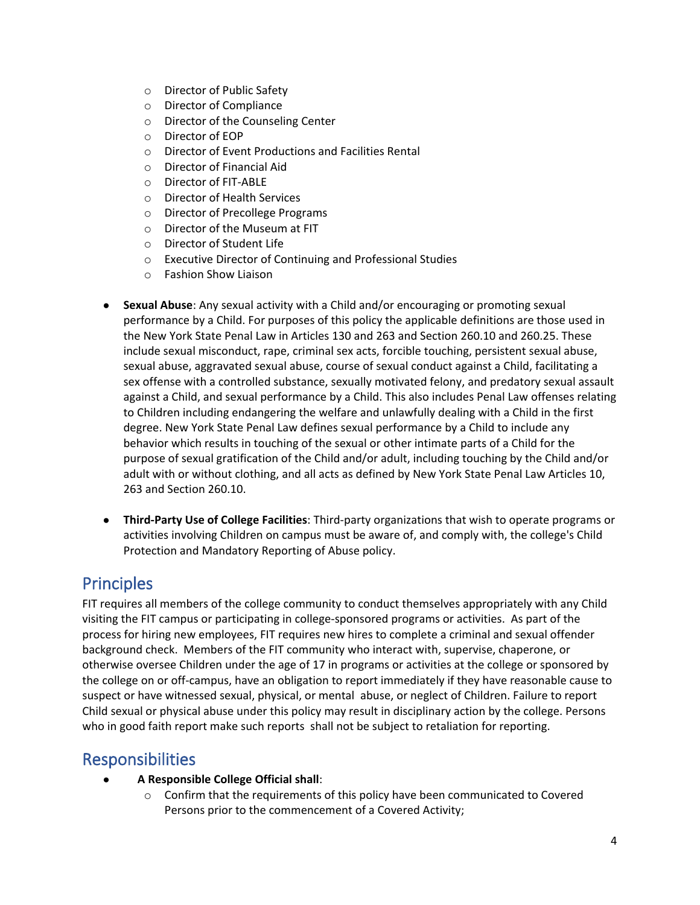- o Director of Public Safety
- o Director of Compliance
- o Director of the Counseling Center
- o Director of EOP
- o Director of Event Productions and Facilities Rental
- o Director of Financial Aid
- O Director of FIT-ABLE<br>O Director of Health Se
- Director of Health Services
- o Director of Precollege Programs
- o Director of the Museum at FIT
- o Director of Student Life
- o Executive Director of Continuing and Professional Studies
- o Fashion Show Liaison
- **Sexual Abuse**: Any sexual activity with a Child and/or encouraging or promoting sexual performance by a Child. For purposes of this policy the applicable definitions are those used in the New York State Penal Law in Articles 130 and 263 and Section 260.10 and 260.25. These include sexual misconduct, rape, criminal sex acts, forcible touching, persistent sexual abuse, sexual abuse, aggravated sexual abuse, course of sexual conduct against a Child, facilitating a sex offense with a controlled substance, sexually motivated felony, and predatory sexual assault against a Child, and sexual performance by a Child. This also includes Penal Law offenses relating to Children including endangering the welfare and unlawfully dealing with a Child in the first degree. New York State Penal Law defines sexual performance by a Child to include any behavior which results in touching of the sexual or other intimate parts of a Child for the purpose of sexual gratification of the Child and/or adult, including touching by the Child and/or adult with or without clothing, and all acts as defined by New York State Penal Law Articles 10, 263 and Section 260.10.
- **Third-Party Use of College Facilities**: Third-party organizations that wish to operate programs or activities involving Children on campus must be aware of, and comply with, the college's Child Protection and Mandatory Reporting of Abuse policy.

## Principles

FIT requires all members of the college community to conduct themselves appropriately with any Child visiting the FIT campus or participating in college-sponsored programs or activities. As part of the process for hiring new employees, FIT requires new hires to complete a criminal and sexual offender background check. Members of the FIT community who interact with, supervise, chaperone, or otherwise oversee Children under the age of 17 in programs or activities at the college or sponsored by the college on or off-campus, have an obligation to report immediately if they have reasonable cause to suspect or have witnessed sexual, physical, or mental abuse, or neglect of Children. Failure to report Child sexual or physical abuse under this policy may result in disciplinary action by the college. Persons who in good faith report make such reports shall not be subject to retaliation for reporting.

## Responsibilities

- **A Responsible College Official shall**:
	- $\circ$  Confirm that the requirements of this policy have been communicated to Covered Persons prior to the commencement of a Covered Activity;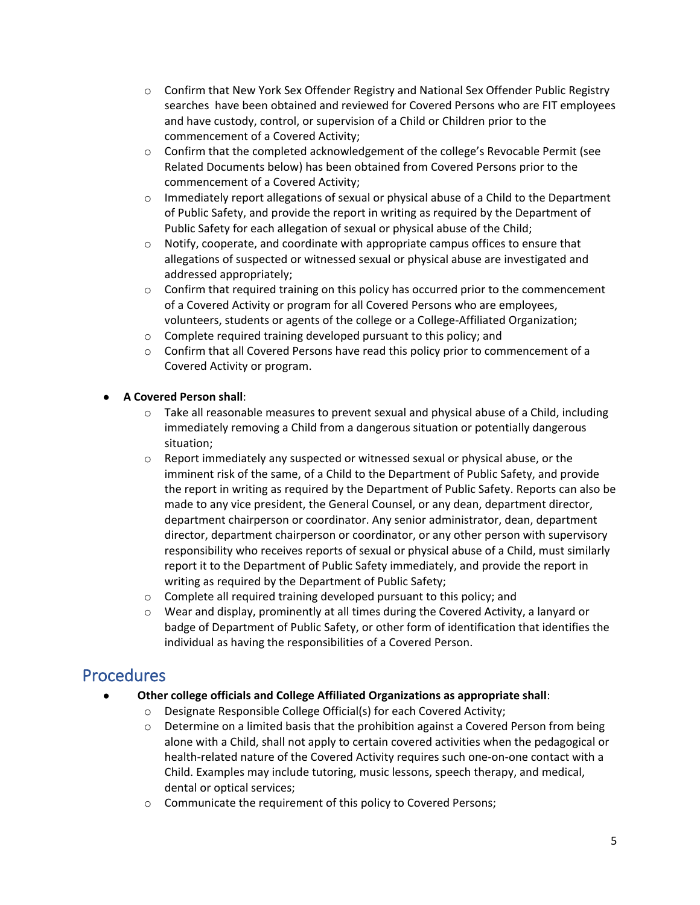- o Confirm that New York Sex Offender Registry and National Sex Offender Public Registry searches have been obtained and reviewed for Covered Persons who are FIT employees and have custody, control, or supervision of a Child or Children prior to the commencement of a Covered Activity;
- $\circ$  Confirm that the completed acknowledgement of the college's Revocable Permit (see Related Documents below) has been obtained from Covered Persons prior to the commencement of a Covered Activity;
- o Immediately report allegations of sexual or physical abuse of a Child to the Department of Public Safety, and provide the report in writing as required by the Department of Public Safety for each allegation of sexual or physical abuse of the Child;
- $\circ$  Notify, cooperate, and coordinate with appropriate campus offices to ensure that allegations of suspected or witnessed sexual or physical abuse are investigated and addressed appropriately;
- $\circ$  Confirm that required training on this policy has occurred prior to the commencement of a Covered Activity or program for all Covered Persons who are employees, volunteers, students or agents of the college or a College-Affiliated Organization;
- o Complete required training developed pursuant to this policy; and
- $\circ$  Confirm that all Covered Persons have read this policy prior to commencement of a Covered Activity or program.

#### ● **A Covered Person shall**:

- $\circ$  Take all reasonable measures to prevent sexual and physical abuse of a Child, including immediately removing a Child from a dangerous situation or potentially dangerous situation;
- o Report immediately any suspected or witnessed sexual or physical abuse, or the imminent risk of the same, of a Child to the Department of Public Safety, and provide the report in writing as required by the Department of Public Safety. Reports can also be made to any vice president, the General Counsel, or any dean, department director, department chairperson or coordinator. Any senior administrator, dean, department director, department chairperson or coordinator, or any other person with supervisory responsibility who receives reports of sexual or physical abuse of a Child, must similarly report it to the Department of Public Safety immediately, and provide the report in writing as required by the Department of Public Safety;
- o Complete all required training developed pursuant to this policy; and
- $\circ$  Wear and display, prominently at all times during the Covered Activity, a lanyard or badge of Department of Public Safety, or other form of identification that identifies the individual as having the responsibilities of a Covered Person.

## **Procedures**

- **Other college officials and College Affiliated Organizations as appropriate shall**:
	- o Designate Responsible College Official(s) for each Covered Activity;
	- $\circ$  Determine on a limited basis that the prohibition against a Covered Person from being alone with a Child, shall not apply to certain covered activities when the pedagogical or health-related nature of the Covered Activity requires such one-on-one contact with a Child. Examples may include tutoring, music lessons, speech therapy, and medical, dental or optical services;
	- o Communicate the requirement of this policy to Covered Persons;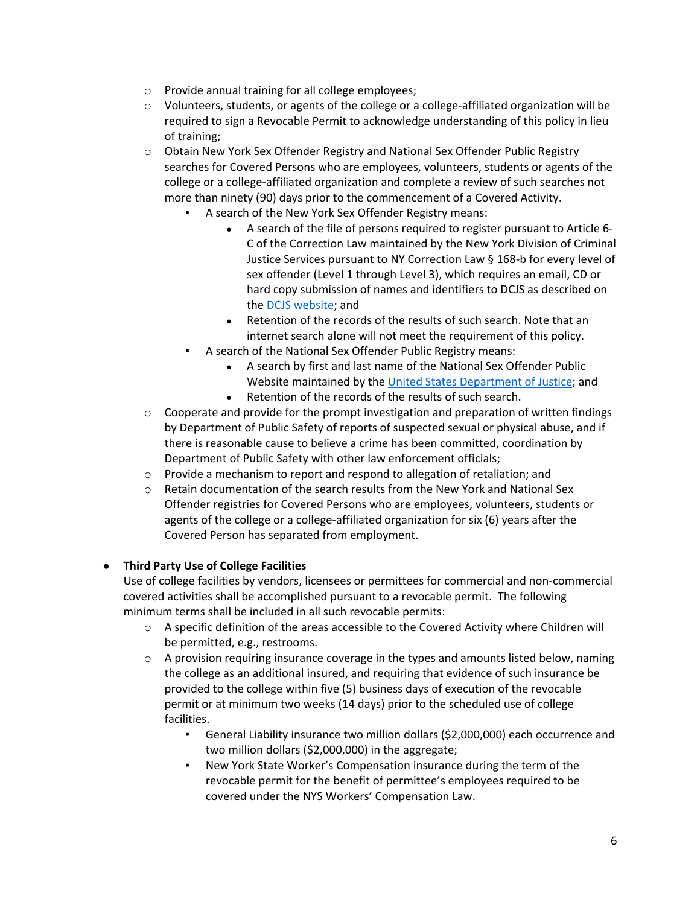- o Provide annual training for all college employees;
- o Volunteers, students, or agents of the college or a college-affiliated organization will be required to sign a Revocable Permit to acknowledge understanding of this policy in lieu of training;
- o Obtain New York Sex Offender Registry and National Sex Offender Public Registry searches for Covered Persons who are employees, volunteers, students or agents of the college or a college-affiliated organization and complete a review of such searches not more than ninety (90) days prior to the commencement of a Covered Activity.
	- A search of the New York Sex Offender Registry means:
		- A search of the file of persons required to register pursuant to Article 6- C of the Correction Law maintained by the New York Division of Criminal Justice Services pursuant to NY Correction Law § 168-b for every level of sex offender (Level 1 through Level 3), which requires an email, CD or hard copy submission of names and identifiers to DCJS as described on the [DCJS website;](http://www.criminaljustice.ny.gov/nsor/800info_cdsubmit.htm) and
		- Retention of the records of the results of such search. Note that an internet search alone will not meet the requirement of this policy.
	- A search of the National Sex Offender Public Registry means:
		- A search by first and last name of the National Sex Offender Public Website maintained by th[e United States Department of Justice;](http://www.nsopw.gov/) and
		- Retention of the records of the results of such search.
- $\circ$  Cooperate and provide for the prompt investigation and preparation of written findings by Department of Public Safety of reports of suspected sexual or physical abuse, and if there is reasonable cause to believe a crime has been committed, coordination by Department of Public Safety with other law enforcement officials;
- o Provide a mechanism to report and respond to allegation of retaliation; and  $\circ$  Retain documentation of the search results from the New York and National
- Retain documentation of the search results from the New York and National Sex Offender registries for Covered Persons who are employees, volunteers, students or agents of the college or a college-affiliated organization for six (6) years after the Covered Person has separated from employment.

## ● **Third Party Use of College Facilities**

Use of college facilities by vendors, licensees or permittees for commercial and non-commercial covered activities shall be accomplished pursuant to a revocable permit. The following minimum terms shall be included in all such revocable permits:

- o A specific definition of the areas accessible to the Covered Activity where Children will be permitted, e.g., restrooms.
- $\circ$  A provision requiring insurance coverage in the types and amounts listed below, naming the college as an additional insured, and requiring that evidence of such insurance be provided to the college within five (5) business days of execution of the revocable permit or at minimum two weeks (14 days) prior to the scheduled use of college facilities.
	- General Liability insurance two million dollars (\$2,000,000) each occurrence and two million dollars (\$2,000,000) in the aggregate;
	- New York State Worker's Compensation insurance during the term of the revocable permit for the benefit of permittee's employees required to be covered under the NYS Workers' Compensation Law.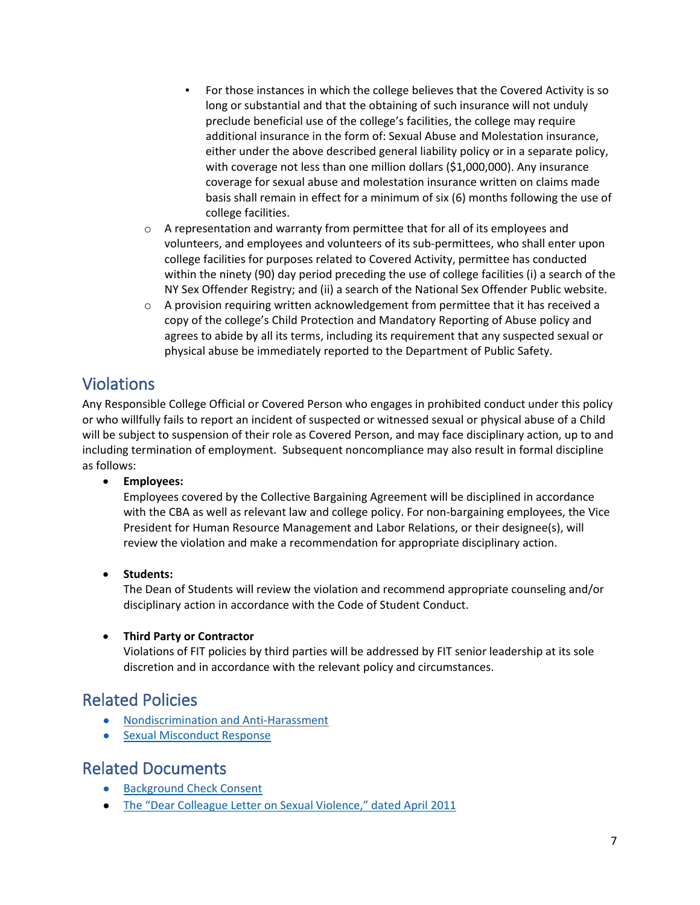- For those instances in which the college believes that the Covered Activity is so long or substantial and that the obtaining of such insurance will not unduly preclude beneficial use of the college's facilities, the college may require additional insurance in the form of: Sexual Abuse and Molestation insurance, either under the above described general liability policy or in a separate policy, with coverage not less than one million dollars (\$1,000,000). Any insurance coverage for sexual abuse and molestation insurance written on claims made basis shall remain in effect for a minimum of six (6) months following the use of college facilities.
- o A representation and warranty from permittee that for all of its employees and volunteers, and employees and volunteers of its sub-permittees, who shall enter upon college facilities for purposes related to Covered Activity, permittee has conducted within the ninety (90) day period preceding the use of college facilities (i) a search of the NY Sex Offender Registry; and (ii) a search of the National Sex Offender Public website.
- $\circ$  A provision requiring written acknowledgement from permittee that it has received a copy of the college's Child Protection and Mandatory Reporting of Abuse policy and agrees to abide by all its terms, including its requirement that any suspected sexual or physical abuse be immediately reported to the Department of Public Safety.

# Violations

Any Responsible College Official or Covered Person who engages in prohibited conduct under this policy or who willfully fails to report an incident of suspected or witnessed sexual or physical abuse of a Child will be subject to suspension of their role as Covered Person, and may face disciplinary action, up to and including termination of employment. Subsequent noncompliance may also result in formal discipline as follows:

## • **Employees:**

Employees covered by the Collective Bargaining Agreement will be disciplined in accordance with the CBA as well as relevant law and college policy. For non-bargaining employees, the Vice President for Human Resource Management and Labor Relations, or their designee(s), will review the violation and make a recommendation for appropriate disciplinary action.

• **Students:**

The Dean of Students will review the violation and recommend appropriate counseling and/or disciplinary action in accordance with the Code of Student Conduct.

#### • **Third Party or Contractor**

Violations of FIT policies by third parties will be addressed by FIT senior leadership at its sole discretion and in accordance with the relevant policy and circumstances.

## Related Policies

- [Nondiscrimination and Anti-Harassment](https://www.fitnyc.edu/about/policies/college/nondiscrimination.php)
- [Sexual Misconduct Response](https://www.fitnyc.edu/about/policies/safety-security/sexual-misconduct-response.php)

## Related Documents

- [Background Check Consent](https://www.fitnyc.edu/documents/hr/hr-background-check-consent.pdf)
- [The "Dear Colleague Letter on Sexual Violence," dated April 2011](https://www2.ed.gov/about/offices/list/ocr/letters/colleague-201104.html)